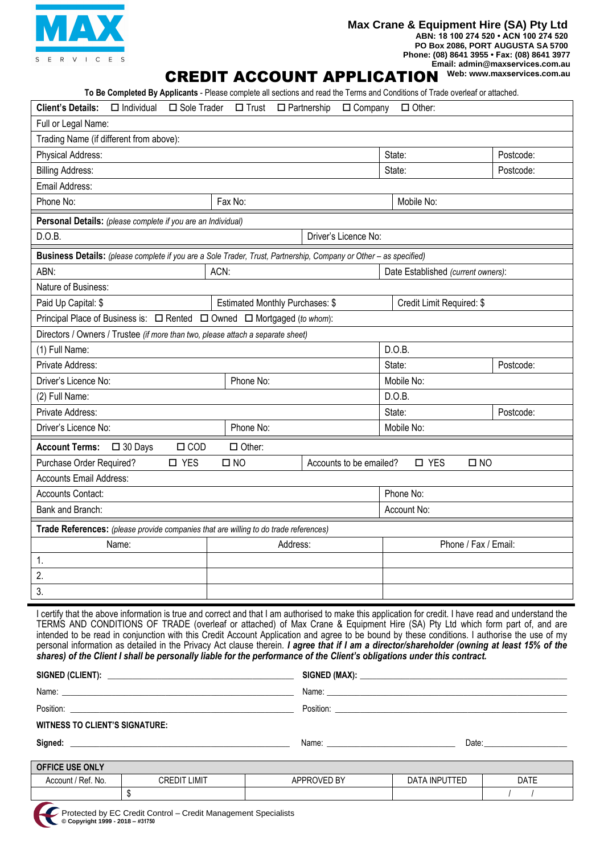

### **Max Crane & Equipment Hire (SA) Pty Ltd ABN: 18 100 274 520 • ACN 100 274 520 PO Box 2086, PORT AUGUSTA SA 5700**

**Phone: (08) 8641 3955 • Fax: (08) 8641 3977 Email: admin@maxservices.com.au**

# **CREDIT ACCOUNT APPLICATION**

**To Be Completed By Applicants** - Please complete all sections and read the Terms and Conditions of Trade overleaf or attached.

| $\Box$ Trust $\Box$ Partnership<br>$\Box$ Company<br><b>Client's Details:</b><br>$\Box$ Individual<br>□ Sole Trader<br>$\Box$ Other: |                                 |                                    |                           |           |  |  |  |
|--------------------------------------------------------------------------------------------------------------------------------------|---------------------------------|------------------------------------|---------------------------|-----------|--|--|--|
| Full or Legal Name:                                                                                                                  |                                 |                                    |                           |           |  |  |  |
| Trading Name (if different from above):                                                                                              |                                 |                                    |                           |           |  |  |  |
| Physical Address:                                                                                                                    |                                 |                                    | State:                    | Postcode: |  |  |  |
| <b>Billing Address:</b>                                                                                                              |                                 |                                    | State:                    | Postcode: |  |  |  |
| Email Address:                                                                                                                       |                                 |                                    |                           |           |  |  |  |
| Phone No:<br>Fax No:                                                                                                                 |                                 |                                    | Mobile No:                |           |  |  |  |
| Personal Details: (please complete if you are an Individual)                                                                         |                                 |                                    |                           |           |  |  |  |
| D.O.B.<br>Driver's Licence No:                                                                                                       |                                 |                                    |                           |           |  |  |  |
| Business Details: (please complete if you are a Sole Trader, Trust, Partnership, Company or Other - as specified)                    |                                 |                                    |                           |           |  |  |  |
| ACN:<br>ABN:                                                                                                                         |                                 | Date Established (current owners): |                           |           |  |  |  |
| Nature of Business:                                                                                                                  |                                 |                                    |                           |           |  |  |  |
| Paid Up Capital: \$                                                                                                                  | Estimated Monthly Purchases: \$ |                                    | Credit Limit Required: \$ |           |  |  |  |
| Principal Place of Business is: □ Rented □ Owned □ Mortgaged (to whom):                                                              |                                 |                                    |                           |           |  |  |  |
| Directors / Owners / Trustee (if more than two, please attach a separate sheet)                                                      |                                 |                                    |                           |           |  |  |  |
| (1) Full Name:                                                                                                                       |                                 |                                    | D.O.B.                    |           |  |  |  |
| Private Address:                                                                                                                     |                                 |                                    |                           | Postcode: |  |  |  |
| Driver's Licence No:                                                                                                                 | Phone No:                       |                                    | Mobile No:                |           |  |  |  |
| (2) Full Name:                                                                                                                       |                                 |                                    | D.O.B.                    |           |  |  |  |
| Private Address:                                                                                                                     |                                 |                                    | State:                    | Postcode: |  |  |  |
| Driver's Licence No:                                                                                                                 | Phone No:                       |                                    | Mobile No:                |           |  |  |  |
| $\Box$ COD<br><b>Account Terms:</b><br>$\square$ 30 Days                                                                             | $\Box$ Other:                   |                                    |                           |           |  |  |  |
| Purchase Order Required?<br>□ YES<br>$\square$ NO                                                                                    |                                 | Accounts to be emailed?            | □ YES<br>$\square$ NO     |           |  |  |  |
| <b>Accounts Email Address:</b>                                                                                                       |                                 |                                    |                           |           |  |  |  |
| Accounts Contact:                                                                                                                    |                                 |                                    | Phone No:                 |           |  |  |  |
| Bank and Branch:                                                                                                                     |                                 |                                    | Account No:               |           |  |  |  |
| Trade References: (please provide companies that are willing to do trade references)                                                 |                                 |                                    |                           |           |  |  |  |
| Name:                                                                                                                                | Address:                        |                                    | Phone / Fax / Email:      |           |  |  |  |
| 1.                                                                                                                                   |                                 |                                    |                           |           |  |  |  |
| 2.                                                                                                                                   |                                 |                                    |                           |           |  |  |  |
| 3.                                                                                                                                   |                                 |                                    |                           |           |  |  |  |

I certify that the above information is true and correct and that I am authorised to make this application for credit. I have read and understand the TERMS AND CONDITIONS OF TRADE (overleaf or attached) of Max Crane & Equipment Hire (SA) Pty Ltd which form part of, and are intended to be read in conjunction with this Credit Account Application and agree to be bound by these conditions. I authorise the use of my personal information as detailed in the Privacy Act clause therein. *I agree that if I am a director/shareholder (owning at least 15% of the shares) of the Client I shall be personally liable for the performance of the Client's obligations under this contract.*

|                                       | Name: 2008 - 2008 - 2008 - 2008 - 2008 - 2008 - 2008 - 2008 - 2008 - 2008 - 2008 - 2008 - 2008 - 2008 - 2008 - |       |
|---------------------------------------|----------------------------------------------------------------------------------------------------------------|-------|
|                                       |                                                                                                                |       |
| <b>WITNESS TO CLIENT'S SIGNATURE:</b> |                                                                                                                |       |
| Signed:                               | Name:                                                                                                          | Date: |

| <b>OFFICE USE ONLY</b> |                 |             |                      |             |
|------------------------|-----------------|-------------|----------------------|-------------|
| Account / Ref. No.     | LIMIT<br>CREDIT | APPROVED BY | <b>DATA INPUTTED</b> | <b>DATE</b> |
|                        |                 |             |                      |             |

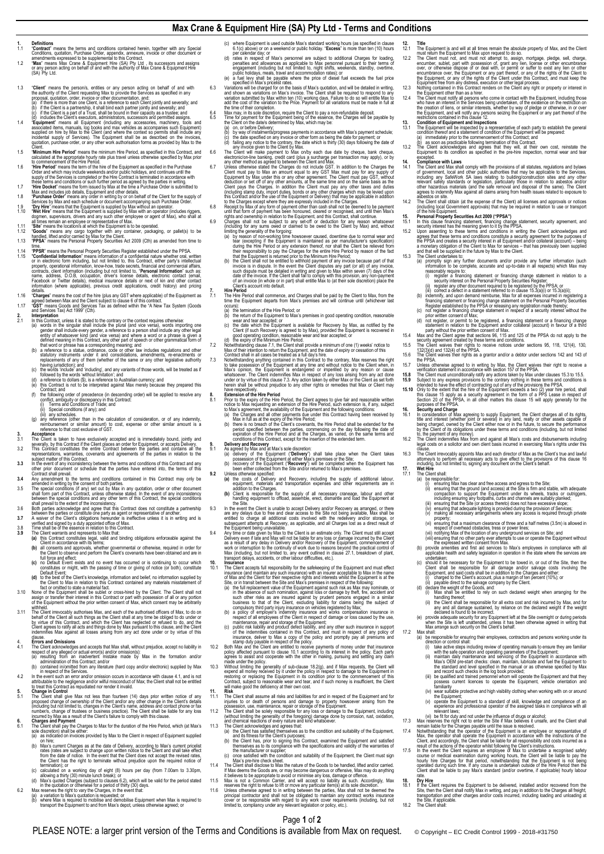## **Max Crane & Equipment Hire (SA) Pty Ltd - Terms and Conditions**

### $\frac{1}{1.1}$

- 
- 1. **Definitions**<br> **1.1 Contract** means the terms and conditions contained herein, together with any Special<br>
Conditions, quotable, Purchase Order, appendix, annexure, invoice or other document or<br>
amendments expressed to b 1.2
- 1.3 "Client" means the person's, entities or any person acting on behalt of and with<br>the authority of the Client requesting Max to provide the Services as specified in any<br>proposal, quotation, order, invoice or other documenta

- "Equipment" means all Equipment (including any accessories, machinery, tools and<br>associated items, manuals, log books and max vehicles as accompanies such Equipment)<br>supplied on hire by Max to the Client (and where the con
- 
- Client.<br>
1.5 Thinimum Hire Period" means the minimum Hire Period, as specified in this Contract, and<br>
calculated at the appropriate hourly rate by the Development as specified by Max prior<br>
to commencement of the Hire Per
- 
- Max and includes job details, Equipment and other details.<br>1.8 Purchase Order means any order in writing by or on behalf of the Client for the supply of<br>5. Services by Max and each schedule or document accompanying such Pu
- "We**t Hire**" means that the Equipment is supplied by Max with an operator (includes nggers)<br>dogmen, supervisors, drivers and any such other employee or agent of Max), who shall at<br>all times remain an employee or represent
- 
- 1.12 "Goods" means any cargo together with any container, packaging, or pallet(s) to be<br>handled, lifted and/or carried by Max for the Client.<br>1.13 "PPSA" means the Personal Property Secunties Act 2009 (Cth) as amended from
- time.<br> **The "PPSR"** means the Personal Property Securities Register established under the PPSA.<br> **The "Confidential Information"** means information of a confidential nature whether oral, written<br>
or in electronic form incl contracts, client information (including but not limited to, "**Personal Information**" such as:<br>name, address, D.O.B, occupation, driver's license details, electronic contact (email,<br>Facebook or Twitter details), medic

- information (where applicable), previous credit applications, credit history) and pricing<br>delails.<br>"Charges" means the cost of the hire (plus any GST where applicable) of the Equipment as<br>appear between Max and the Client
- 
- 1 In this Contract, unless this stated to the contrary or the context requires otherwise:<br>
(a) words in the singular stall include the plural (and vice versa), words importing one<br>
gender shall include every gender, a refe
	-
	-
	- (d) a reference to dollars (\$), is a reference to Australian currency; and<br>(e) this Contract is not to be interpreted against Max merely because they prepared this
	- Contract; and (f) the following order of precedence (in descending order) will be applied to resolve any
	-
	- confilie, ambiguity or discrepancy in this Contract:<br>
	(i) Terms and Conditions of Trade; and<br>
	(ii) Special conditions (if any); and<br>
	(iii) any schedules.<br>
	(g) any reference (other than in the calculation of consideration,
- 
- 3. Acceptance<br>3.1 The Client is taken to have exclusively accepted and is immediately bound, jointly and<br>5.2 The Client is taken to have endustrial cases an order for Equipment, or accepts Delivery.<br>3.2 This Contract const
- subject matter of this Contract. **3.3** In the event of any inconsistency between the terms and conditions of this Contract and any other prior document or schedule that the parties have entered into, the terms of this Contract shall prevail.
- 
- 3.4 Any amended in writing by the consent of conditions contained in this Contract may only be<br>amended in writing by the consent of both parties.<br>Simple special conditions (if any) set out by Max in any quotation, order or
- 
- -
	-
	- the Client to observe and perform the Client's covenants have been obtained and are in<br>full force and effect;<br>(c) no Default Event exists and no event has occurred or is continuing to occur which<br>constitutes or might, with
	- **(d)** to the best of the Client's knowledge, information and belief, no information supplied by the Client to Max in relation to this Contract contained any materials misstatement of
- fact or omitted to state a material fact.<br>None of the Equipment shall be sublet or cross-hired by the Client. The Client shall not<br>assign or transfer their interest in this Contract or part with possession of all or any po
- with held.<br>The Client irrevocably authorises Max, and each of the authorised officers of Max, to do on<br>the Microsoft of the Client sill such things as the Client shall at any time be obliged to do under or<br>by virtue of thi
- clause. 4. **Errors and Omissions**
- 4.1 The Client acknowledges and accepts that Max shall, without prejudice, accept no liability in<br>respect of any alleged or actual error(s) and/or omission(s):<br>a) resulting from an inadvertent mistake made by Max in the fo
- iadininistration of this Contract; and/or<br>(b) contained in/omitted from any literature (hard copy and/or electronic) supplied by Max<br>In the event such an error and/or omission occurs in accordance with dause 4.1, and is no
- attributable to the negligence and/or wilful misconduct of Max; the Client shall not be entitled to treat this Contract as repudiated nor render it invalid.
- **5. Change in Control** 5.1 The Client shall give Max not less than fourteen (14) days prior written notice of any proposed change of ownership of the Client and/or any other change in the Client's details<br>(including but not limited to, changes in the Client's name, address and contact phone or fax<br>number/s, change of trustees or busin
- 6. Charges and Payment<br>6.1 The Client shall pay the Charges to Max for the duration of the Hire Period, which (at Max's<br>(a) as indicated on invoices provided by Max to the Client in respect of Equipment supplied<br>(a) as ind
- 
- Con hire;<br>(b) Max's current Charges as at the date of Delivery, according to Max's current pricelist<br>fract (at es are subject to change upon written notice to the Client and shall take effect<br>from the date of notice. In th
- (c) calculated on a working day of eight (8) hours per day (from 7.00am to 3.30pm,<br>allowing a thirty (30) minute lunch break); or<br>(d) Max's quoted Charges (subject to clauses 6.2), which will be valid for the period stated
- 
- 
- (b) where Max is required to mobilise and demobilise Equipment when Max is required to transport the Equipment to and from Max's depot, unless otherwise agreed; or
- (c) where Equipment is used outside Max's standard working hours (as specified in clause 6.1(c) above) or on a weekend or public holiday. "**Excess**" is more than ten (10) hours
- 
- 
- 
- 
- 
- 
- per calendar day; or calendar day or calendar day of reactional changes for loading,<br>persistes and allowances as applicable to Max personnel pursuant to their terms of<br>engagement (including but not limited to, night shifts
- 
- rights and ownership in relation to the Equipment, and this Contract, shall continue.<br>6.9 Charges shall not be subject to any set-off or deduction for any reason whatsoever<br>(including for any sums owed or claimed to be owe
	- limiting the generality of the forgoing:<br>(a) by reason of non-working time howsoever caused, downtime due to normal wear and<br>tear (excepting if the Equipment is maintained as per manufacturer's specification)<br>during the Hi
	- such dispute must be detailed in writing and given to Max within seven (7) days of the<br>date of the invoice. If the Client shall fail to comply with this provision, any non-payment<br>of an invoice (in whole or in part) shall
- **7. Hire Period** 7.1 The Hire Period shall commence, and Charges shall be paid by the Client to Max, from the time the Equipment departs from Max's premises and will continue until (whichever last
	- occurs): (a) the termination of the Hire Period; or
- (b) the return of the Equipment to Max's premises in good operating condition, reasonable<br>
(c) the date which the Equipment is available for Recovery by Max, as notified by the<br>
Client (if such Recovery is agreed to by Max
	-
- N.3 Notwithstanding anything contained in this Contract to the contrary, Max reserves the right to take possession of the Equipment at any time and without notice to the Client when, in Nax's opinion, the Equipment is enda under or by virtue of this clause 7.3. Any action taken by either Max or the Client as set forth herein shall be without prejudice to any other rights or remedies that Max or Client may have respectively.<br>Extension of the Hire Period
- 8. Extension of the Hire Period, the Client agrees to give fair and reasonable written<br>
2. The control to the expiry of the Hire Period, the Client agrees to give fair and reasonable written<br>
notice to Max requesting an ex
- -
- 
- 
- equipment, materials and transportation expenses and other requirements are in<br>addition to the Charges.<br>(b) Client is responsible for the supply of all necessary craneage, labour and other<br>landling equipment to offload, as
- 
- the Site.<br>
2.3 In the went the Client is unable to accept Delivery and/or Recovery as arranged, or there<br>
are any delays due to free and clear access to the Site not being available, Max shall be<br>
entitled to charge all ad
- Max (including, but not limited to, any event outlined in clause 27.1, breakdown of plant, transport delays, accidents, or other labour difficulties, etc.). **10. Insurance**
- 10.1 The Client accepts full responsibility for the safekeeping of the Equipment and must effect insurance (and maintain any such insurance) with an insurer acceptable to Max in the name
- of Max and the Client for their respective rights and interests whilst the Equipement is at the Sile, or in transit between the Site and Max's premises in respect of the following:<br>(a) the full replacement value of the Equ
	-
	-
- 
- 10.3 Without limiting the generatity of sub-clause 18.2(g), and if Max requests, the Client will expend all money received by it under the policy in respect to damage to the Equipment in restoring or replacing the Equipmen
- **11. Risk** 11.1 The Client shall assume all risks and liabilities for and in respect of the Equipment and for
- injuries to or death of persons and damage to property howscover arising from the possession, use, maintenance, repair or storage of the Equipment.<br>11.2 The Client shall be solely responsible for any loss or damage to the
- - (b) the Client has, prior to signing this Contract, examined the Equipment and satisfied<br>themselves as to its compliance with the specifications and validity of the warranties of<br>the manufacturer or supplier;<br>(c) once sati
	-
- 
- That The Client shall disclose to Max the nature of the Goods to be handled, lifted and/or carried.<br>
11.4 The Client shall disclose to Max the nature of the Goods to be handled, lifted and/or carried.<br>
If Max deems the Goo cover or be responsible with regard to any work cover requirements (including, but not limited to, compliancy under any relevant legislation or policy, etc.).

Page **1** of **2** PLEASE NOTE: a larger print version of the Terms and Conditions is available from Max on request. © Copyright – EC Credit Control 1999 - 2018-#31750

- **12. Title**<br>12.1 The Equipment is and will at all times remain the absolute property of Max, and the Client<br>12.1 must return the Equipment to Max upon request to do so.
- T2.2 The Client must must not attempt to, assign, mortgage, pledge, sell, charge, please encumber, sublet, part with possession of, grant any lien, license or other encumbrance over, or otherwise dispose of or deal with, o
- Equipment free from any distress, execution or other legal process.<br>12.3 Nothing contained in this Contract renders on the Client any right or property or interest in<br>12.4 The Client must notify all persons who come in con
- who have an interest in the Services being undertaken, of the existence on the restriction on<br>the creation of liens, or similar interests, whether by way of pledge or otherwise, in or over<br>the Equipment, and will notify an
- 13. Condition of Equipment and Inspections<br>
The Equipment will be inspected by a representative of each party to establish the general<br>
condition thereof and a statement of condition of the Equipment will be inspected<br>
(a)
- 
- 

**17. Wet Hire** 17.1 The Client shall:

property

- 14. Compliance with Laws<br>14. The Client and Max shall comply with the provisions of all statutes, regulations and bylaws<br>14.1 The Client and Max shall comply with the provisions of all may be applicable to the Services<br>inc agrees to indemnify Max against all claims arising from health issues related to exposure to asbestos on site.
- 14.2 The Client shall obtain (at the expense of the Client) all licenses and approvals or notices<br>
including local Government approvals) that may be required in relation to use or transpor (including local Government approvals) that may be required in relation to use or transport<br>of the hire Equipment.<br>15.1 **Personal Property Securities Act 2009 ("PPSA")**<br>5.1 In this clause financing statement, financing cha

(i) register a financing statement or financing change statement in relation to a resountly interest on the Personal Property Securities Register.<br>
(iii) register any other document required to be registered by the PPSA;

15.7 Unless otherwise agreed to in writing by Max, the Client waives their right to receive a<br>verification statement in accordance with section 157 of the PPSA.<br>15.8 The Client must unconditionally ratify any acids then b

title and interest (whether joint or several) in any land, realty or other assets capable of being charged, owned by the Client either now or in the future, to secure the performance by the Client either disters and condit

clause.<br>The Client irrevocably appoints Max and each director of Max as the Client's true and lawful<br>attorney/s to perform all necessary acts to give effect to the provisions of this clause 16<br>including, but not limited to

(a) be responsible for:<br>(i) ensuring Max has clear and free access and egress to the Site;<br>(ii) ensuring that the ground (and access) at the Site is firm and stable, with adequate<br>compaction to support the Equipment under including ensuring any footpaths, curbs and channels are suitably planked;<br>(iii) ensuring that the Site (or access thereto) does not have excessive slope;<br>(iv) ensuring that adequate lighting is provided during the provisi

(vi) ensuring that a maximum clearance of three and a half metres (3.5m) is allowed in<br>respect of overhead obstacles, tress or power lines;<br>(vii) enotifying Max of the location of any underground services on Site; and<br>(vii (b) provide amenities and first aid services to Max's employees in compliance with all applicable health and safety legislation in operation in the state where the services are

undertaken;<br>(c) should it be necessary for the Equipment to be towed in, or out of the Site, then the<br>Client shall be responsible for all damage and/or salvage costs involving the<br>Equipment, and said costs shall be in addi

inanding thereof;<br>iii) the Client shall be responsible for all extra cost and risk incurred by Max, and for<br>any and all damage sustained, by reliance on the declared weight if the weight<br>adverse is found to be incorrect.<br>(

direction or control shall:<br>
(i) take active steps including review of operating manuals to ensure they are familiar<br>
(ii) take active steps including review of operating parameters of the Equipment;<br>
(iii) maintain daily

(v) operate the Equipment to a standard of skill, knowledge and competence of an experience and professional operator of the assigned tasks in compliance with all

17.3 Max researces the right and under the influence of drugs or alcohol;<br>
(iv) be fit for duty and not under the influence of drugs or alcohol;<br>
17.3 Max researces the right Mot to enter the Stile if Max believes it unse

18.1 If the Client requires the Equipment to be delivered, installed and/or recovered from the<br>Site, then the Client shall notify Max in writing, and pay in addition to the Charges all freight,<br>the Site, if applicable.<br>the

the Site, if applicable.<br>18.2 The Client shall:

17.2 Max shall: (a) be responsible for ensuring their employees, contractors and persons working under its